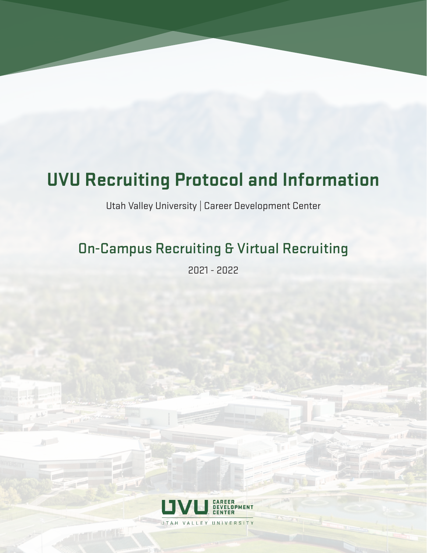# **UVU Recruiting Protocol and Information**

Utah Valley University | Career Development Center

## On-Campus Recruiting & Virtual Recruiting

2021 - 2022

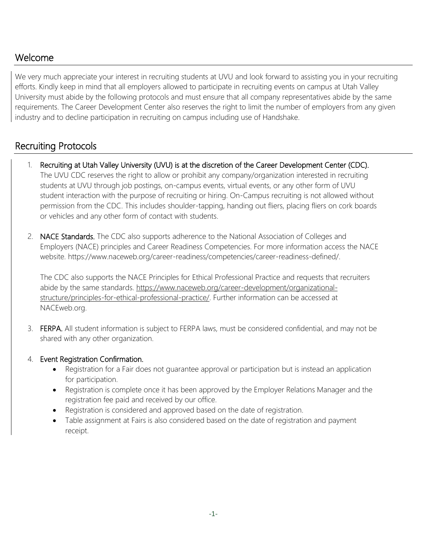### Welcome

We very much appreciate your interest in recruiting students at UVU and look forward to assisting you in your recruiting efforts. Kindly keep in mind that all employers allowed to participate in recruiting events on campus at Utah Valley University must abide by the following protocols and must ensure that all company representatives abide by the same requirements. The Career Development Center DVZOODVDQRWKHUSURWRFROVLQFO&GQWKH(PSORHUZESDJH reserves the right to limit the number of employers from any given industry and to decline participation in recruiting on campus including use of Handshake.

#### Recruiting Protocols

- 1. Recruiting at Utah Valley University (UVU) is at the discretion of the Career Development Center (CDC). The UVU CDC reserves the right to allow or prohibit any company/organization interested in recruiting students at UVU through job postings, on-campus events, virtual events, or any other form of UVU student interaction with the purpose of recruiting or hiring. On-Campus recruiting is not allowed without permission from the CDC. This includes shoulder-tapping, handing out fliers, placing fliers on cork boards or vehicles and any other form of contact with students.
- 2. NACE Standards. The CDC also supports adherence to the National Association of Colleges and Employers (NACE) principles and Career Readiness Competencies. For more information access the NACE website. [https://www.naceweb.org/career-readiness/competencies/career-readiness-defined/.](https://www.naceweb.org/career-readiness/competencies/career-readiness-defined/)

The CDC also supports the NACE Principles for Ethical Professional Practice and requests that recruiters abide by the same standards. [https://www.naceweb.org/career-development/organizational](https://www.naceweb.org/career-development/organizational-structure/principles-for-ethical-professional-practice/)[structure/principles-for-ethical-professional-practice/.](https://www.naceweb.org/career-development/organizational-structure/principles-for-ethical-professional-practice/) Further information can be accessed at NACEweb.org.

- 3. FERPA. All student information is subject to FERPA laws, must be considered confidential, and may not be shared with any other organization.
- 4. Event Registration Confirmation.
	- Registration for a Fair does not guarantee approval or participation but is instead an application for participation.
	- Registration is complete once it has been approved by the Employer Relations Manager and the registration fee paid and received by our office.
	- Registration is considered and approved based on the date of registration.
	- Table assignment at Fairs is also considered based on the date of registration and payment receipt.